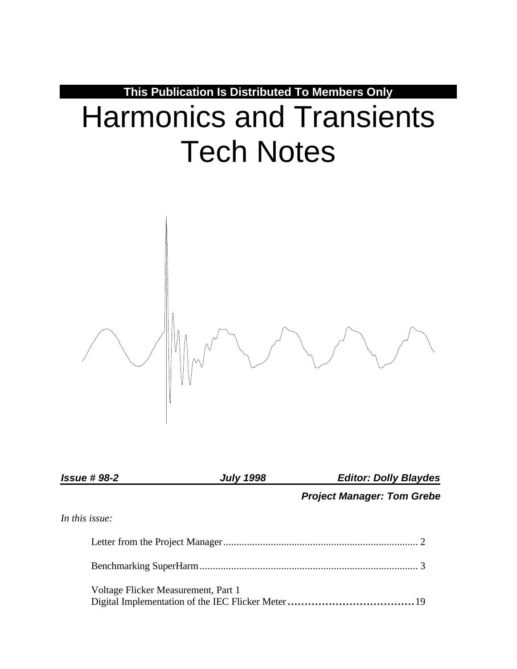**This Publication Is Distributed To Members Only**

# Harmonics and Transients Tech Notes



| <b>Issue #98-2</b> | <b>July 1998</b> | <b>Editor: Dolly Blaydes</b>      |  |  |
|--------------------|------------------|-----------------------------------|--|--|
|                    |                  | <b>Project Manager: Tom Grebe</b> |  |  |
| In this issue:     |                  |                                   |  |  |
|                    |                  |                                   |  |  |
|                    |                  |                                   |  |  |

Voltage Flicker Measurement, Part 1 Digital Implementation of the IEC Flicker Meter.....................................19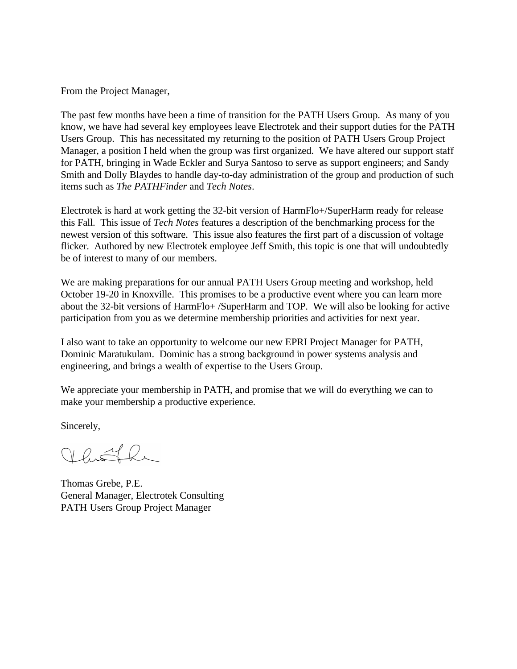From the Project Manager,

The past few months have been a time of transition for the PATH Users Group. As many of you know, we have had several key employees leave Electrotek and their support duties for the PATH Users Group. This has necessitated my returning to the position of PATH Users Group Project Manager, a position I held when the group was first organized. We have altered our support staff for PATH, bringing in Wade Eckler and Surya Santoso to serve as support engineers; and Sandy Smith and Dolly Blaydes to handle day-to-day administration of the group and production of such items such as *The PATHFinder* and *Tech Notes*.

Electrotek is hard at work getting the 32-bit version of HarmFlo+/SuperHarm ready for release this Fall. This issue of *Tech Notes* features a description of the benchmarking process for the newest version of this software. This issue also features the first part of a discussion of voltage flicker. Authored by new Electrotek employee Jeff Smith, this topic is one that will undoubtedly be of interest to many of our members.

We are making preparations for our annual PATH Users Group meeting and workshop, held October 19-20 in Knoxville. This promises to be a productive event where you can learn more about the 32-bit versions of HarmFlo+ /SuperHarm and TOP. We will also be looking for active participation from you as we determine membership priorities and activities for next year.

I also want to take an opportunity to welcome our new EPRI Project Manager for PATH, Dominic Maratukulam. Dominic has a strong background in power systems analysis and engineering, and brings a wealth of expertise to the Users Group.

We appreciate your membership in PATH, and promise that we will do everything we can to make your membership a productive experience.

Sincerely,

Vhoth

Thomas Grebe, P.E. General Manager, Electrotek Consulting PATH Users Group Project Manager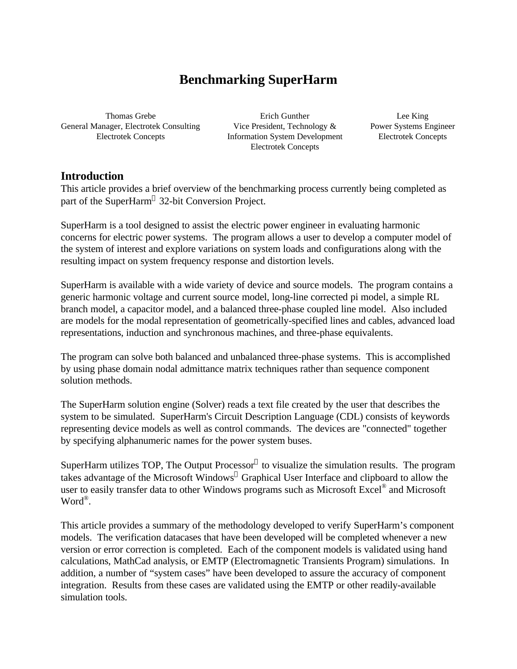# **Benchmarking SuperHarm**

Thomas Grebe General Manager, Electrotek Consulting Electrotek Concepts

Erich Gunther Vice President, Technology & Information System Development Electrotek Concepts

Lee King Power Systems Engineer Electrotek Concepts

## **Introduction**

This article provides a brief overview of the benchmarking process currently being completed as part of the SuperHarm® 32-bit Conversion Project.

SuperHarm is a tool designed to assist the electric power engineer in evaluating harmonic concerns for electric power systems. The program allows a user to develop a computer model of the system of interest and explore variations on system loads and configurations along with the resulting impact on system frequency response and distortion levels.

SuperHarm is available with a wide variety of device and source models. The program contains a generic harmonic voltage and current source model, long-line corrected pi model, a simple RL branch model, a capacitor model, and a balanced three-phase coupled line model. Also included are models for the modal representation of geometrically-specified lines and cables, advanced load representations, induction and synchronous machines, and three-phase equivalents.

The program can solve both balanced and unbalanced three-phase systems. This is accomplished by using phase domain nodal admittance matrix techniques rather than sequence component solution methods.

The SuperHarm solution engine (Solver) reads a text file created by the user that describes the system to be simulated. SuperHarm's Circuit Description Language (CDL) consists of keywords representing device models as well as control commands. The devices are "connected" together by specifying alphanumeric names for the power system buses.

SuperHarm utilizes TOP, The Output Processor® to visualize the simulation results. The program takes advantage of the Microsoft Windows® Graphical User Interface and clipboard to allow the user to easily transfer data to other Windows programs such as Microsoft Excel® and Microsoft Word® .

This article provides a summary of the methodology developed to verify SuperHarm's component models. The verification datacases that have been developed will be completed whenever a new version or error correction is completed. Each of the component models is validated using hand calculations, MathCad analysis, or EMTP (Electromagnetic Transients Program) simulations. In addition, a number of "system cases" have been developed to assure the accuracy of component integration. Results from these cases are validated using the EMTP or other readily-available simulation tools.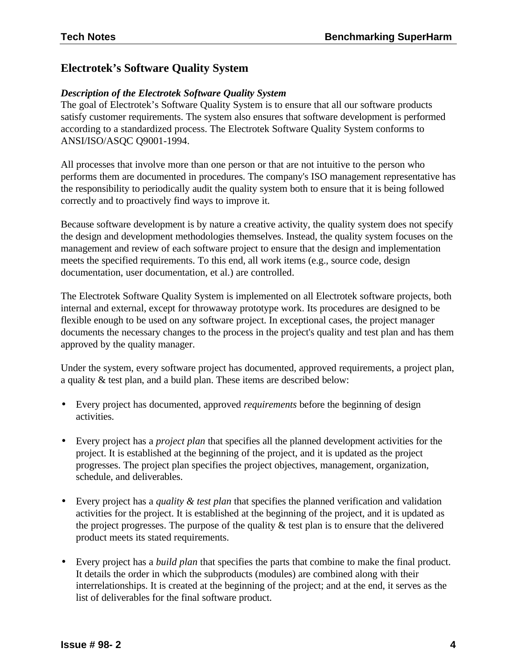# **Electrotek's Software Quality System**

## *Description of the Electrotek Software Quality System*

The goal of Electrotek's Software Quality System is to ensure that all our software products satisfy customer requirements. The system also ensures that software development is performed according to a standardized process. The Electrotek Software Quality System conforms to ANSI/ISO/ASQC Q9001-1994.

All processes that involve more than one person or that are not intuitive to the person who performs them are documented in procedures. The company's ISO management representative has the responsibility to periodically audit the quality system both to ensure that it is being followed correctly and to proactively find ways to improve it.

Because software development is by nature a creative activity, the quality system does not specify the design and development methodologies themselves. Instead, the quality system focuses on the management and review of each software project to ensure that the design and implementation meets the specified requirements. To this end, all work items (e.g., source code, design documentation, user documentation, et al.) are controlled.

The Electrotek Software Quality System is implemented on all Electrotek software projects, both internal and external, except for throwaway prototype work. Its procedures are designed to be flexible enough to be used on any software project. In exceptional cases, the project manager documents the necessary changes to the process in the project's quality and test plan and has them approved by the quality manager.

Under the system, every software project has documented, approved requirements, a project plan, a quality & test plan, and a build plan. These items are described below:

- Every project has documented, approved *requirements* before the beginning of design activities.
- Every project has a *project plan* that specifies all the planned development activities for the project. It is established at the beginning of the project, and it is updated as the project progresses. The project plan specifies the project objectives, management, organization, schedule, and deliverables.
- Every project has a *quality & test plan* that specifies the planned verification and validation activities for the project. It is established at the beginning of the project, and it is updated as the project progresses. The purpose of the quality  $\&$  test plan is to ensure that the delivered product meets its stated requirements.
- Every project has a *build plan* that specifies the parts that combine to make the final product. It details the order in which the subproducts (modules) are combined along with their interrelationships. It is created at the beginning of the project; and at the end, it serves as the list of deliverables for the final software product.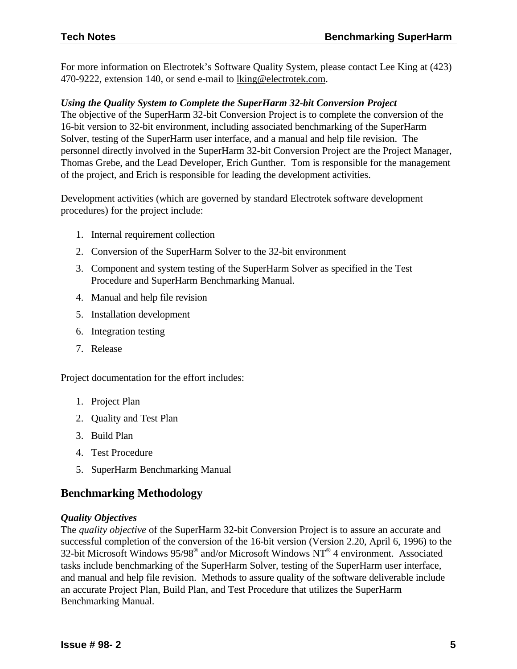For more information on Electrotek's Software Quality System, please contact Lee King at (423) 470-9222, extension 140, or send e-mail to lking@electrotek.com.

#### *Using the Quality System to Complete the SuperHarm 32-bit Conversion Project*

The objective of the SuperHarm 32-bit Conversion Project is to complete the conversion of the 16-bit version to 32-bit environment, including associated benchmarking of the SuperHarm Solver, testing of the SuperHarm user interface, and a manual and help file revision. The personnel directly involved in the SuperHarm 32-bit Conversion Project are the Project Manager, Thomas Grebe, and the Lead Developer, Erich Gunther. Tom is responsible for the management of the project, and Erich is responsible for leading the development activities.

Development activities (which are governed by standard Electrotek software development procedures) for the project include:

- 1. Internal requirement collection
- 2. Conversion of the SuperHarm Solver to the 32-bit environment
- 3. Component and system testing of the SuperHarm Solver as specified in the Test Procedure and SuperHarm Benchmarking Manual.
- 4. Manual and help file revision
- 5. Installation development
- 6. Integration testing
- 7. Release

Project documentation for the effort includes:

- 1. Project Plan
- 2. Quality and Test Plan
- 3. Build Plan
- 4. Test Procedure
- 5. SuperHarm Benchmarking Manual

## **Benchmarking Methodology**

#### *Quality Objectives*

The *quality objective* of the SuperHarm 32-bit Conversion Project is to assure an accurate and successful completion of the conversion of the 16-bit version (Version 2.20, April 6, 1996) to the 32-bit Microsoft Windows  $95/98^{\circ}$  and/or Microsoft Windows NT<sup>®</sup> 4 environment. Associated tasks include benchmarking of the SuperHarm Solver, testing of the SuperHarm user interface, and manual and help file revision. Methods to assure quality of the software deliverable include an accurate Project Plan, Build Plan, and Test Procedure that utilizes the SuperHarm Benchmarking Manual.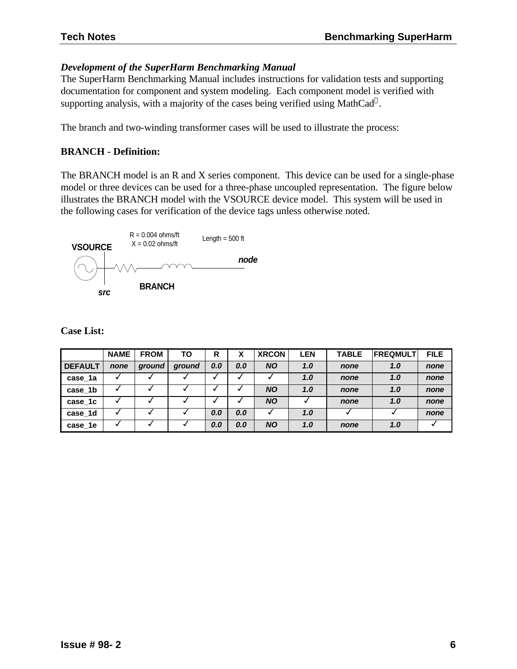## *Development of the SuperHarm Benchmarking Manual*

The SuperHarm Benchmarking Manual includes instructions for validation tests and supporting documentation for component and system modeling. Each component model is verified with supporting analysis, with a majority of the cases being verified using MathCad®.

The branch and two-winding transformer cases will be used to illustrate the process:

#### **BRANCH - Definition:**

The BRANCH model is an R and X series component. This device can be used for a single-phase model or three devices can be used for a three-phase uncoupled representation. The figure below illustrates the BRANCH model with the VSOURCE device model. This system will be used in the following cases for verification of the device tags unless otherwise noted.



|                | <b>NAME</b> | <b>FROM</b> | ТΟ     | R   | χ   | <b>XRCON</b> | <b>LEN</b> | <b>TABLE</b> | <b>FREQMULT</b> | <b>FILE</b> |
|----------------|-------------|-------------|--------|-----|-----|--------------|------------|--------------|-----------------|-------------|
| <b>DEFAULT</b> | none        | ground      | ground | 0.0 | 0.0 | <b>NO</b>    | 1.0        | none         | 1.0             | none        |
| case 1a        |             |             |        |     |     |              | 1.0        | none         | 1.0             | none        |
| case 1b        |             |             |        |     |     | <b>NO</b>    | 1.0        | none         | 1.0             | none        |
| case 1c        |             |             |        |     |     | <b>NO</b>    |            | none         | 1.0             | none        |
| case 1d        |             |             |        | 0.0 | 0.0 |              | 1.0        |              |                 | none        |
| case 1e        |             |             |        | 0.0 | 0.0 | <b>NO</b>    | 1.0        | none         | 1.0             |             |

**Case List:**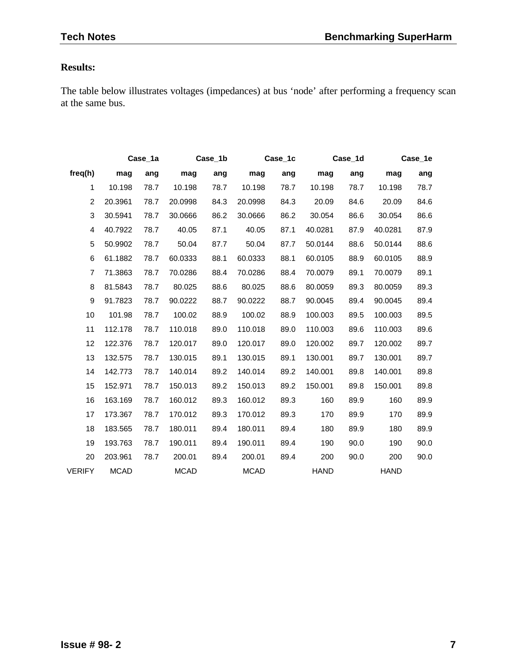# **Results:**

The table below illustrates voltages (impedances) at bus 'node' after performing a frequency scan at the same bus.

|                |             | Case_1a |             | Case_1b |             | Case_1c | Case_1d     |      | Case_1e     |      |
|----------------|-------------|---------|-------------|---------|-------------|---------|-------------|------|-------------|------|
| freq(h)        | mag         | ang     | mag         | ang     | mag         | ang     | mag         | ang  | mag         | ang  |
| 1              | 10.198      | 78.7    | 10.198      | 78.7    | 10.198      | 78.7    | 10.198      | 78.7 | 10.198      | 78.7 |
| $\overline{2}$ | 20.3961     | 78.7    | 20.0998     | 84.3    | 20.0998     | 84.3    | 20.09       | 84.6 | 20.09       | 84.6 |
| 3              | 30.5941     | 78.7    | 30.0666     | 86.2    | 30.0666     | 86.2    | 30.054      | 86.6 | 30.054      | 86.6 |
| 4              | 40.7922     | 78.7    | 40.05       | 87.1    | 40.05       | 87.1    | 40.0281     | 87.9 | 40.0281     | 87.9 |
| 5              | 50.9902     | 78.7    | 50.04       | 87.7    | 50.04       | 87.7    | 50.0144     | 88.6 | 50.0144     | 88.6 |
| 6              | 61.1882     | 78.7    | 60.0333     | 88.1    | 60.0333     | 88.1    | 60.0105     | 88.9 | 60.0105     | 88.9 |
| $\overline{7}$ | 71.3863     | 78.7    | 70.0286     | 88.4    | 70.0286     | 88.4    | 70.0079     | 89.1 | 70.0079     | 89.1 |
| 8              | 81.5843     | 78.7    | 80.025      | 88.6    | 80.025      | 88.6    | 80.0059     | 89.3 | 80.0059     | 89.3 |
| 9              | 91.7823     | 78.7    | 90.0222     | 88.7    | 90.0222     | 88.7    | 90.0045     | 89.4 | 90.0045     | 89.4 |
| 10             | 101.98      | 78.7    | 100.02      | 88.9    | 100.02      | 88.9    | 100.003     | 89.5 | 100.003     | 89.5 |
| 11             | 112.178     | 78.7    | 110.018     | 89.0    | 110.018     | 89.0    | 110.003     | 89.6 | 110.003     | 89.6 |
| 12             | 122.376     | 78.7    | 120.017     | 89.0    | 120.017     | 89.0    | 120.002     | 89.7 | 120.002     | 89.7 |
| 13             | 132.575     | 78.7    | 130.015     | 89.1    | 130.015     | 89.1    | 130.001     | 89.7 | 130.001     | 89.7 |
| 14             | 142.773     | 78.7    | 140.014     | 89.2    | 140.014     | 89.2    | 140.001     | 89.8 | 140.001     | 89.8 |
| 15             | 152.971     | 78.7    | 150.013     | 89.2    | 150.013     | 89.2    | 150.001     | 89.8 | 150.001     | 89.8 |
| 16             | 163.169     | 78.7    | 160.012     | 89.3    | 160.012     | 89.3    | 160         | 89.9 | 160         | 89.9 |
| 17             | 173.367     | 78.7    | 170.012     | 89.3    | 170.012     | 89.3    | 170         | 89.9 | 170         | 89.9 |
| 18             | 183.565     | 78.7    | 180.011     | 89.4    | 180.011     | 89.4    | 180         | 89.9 | 180         | 89.9 |
| 19             | 193.763     | 78.7    | 190.011     | 89.4    | 190.011     | 89.4    | 190         | 90.0 | 190         | 90.0 |
| 20             | 203.961     | 78.7    | 200.01      | 89.4    | 200.01      | 89.4    | 200         | 90.0 | 200         | 90.0 |
| <b>VERIFY</b>  | <b>MCAD</b> |         | <b>MCAD</b> |         | <b>MCAD</b> |         | <b>HAND</b> |      | <b>HAND</b> |      |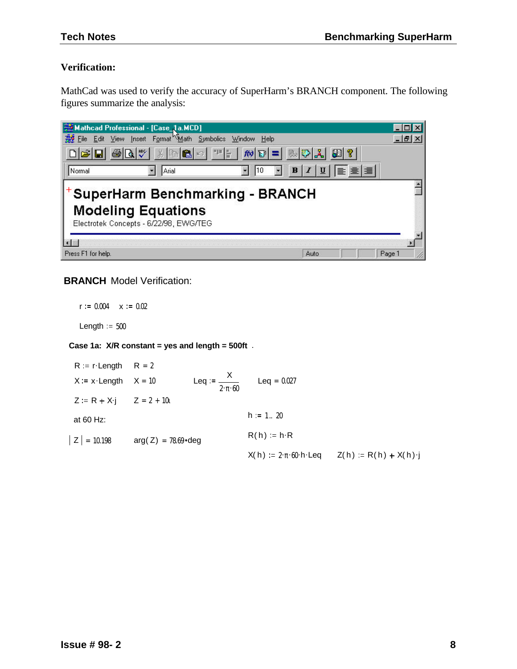#### **Verification:**

MathCad was used to verify the accuracy of SuperHarm's BRANCH component. The following figures summarize the analysis:

|                    | Mathcad Professional - [Case_1a.MCD]                                                                                                                                        |                                              |
|--------------------|-----------------------------------------------------------------------------------------------------------------------------------------------------------------------------|----------------------------------------------|
|                    | File Edit View Insert Format Math Symbolics Window<br>Help                                                                                                                  | - 151                                        |
|                    | $ \mathcal{B} \mathbf{G} \oplus  \mathbf{G} \mathcal{V}  \times  \mathbf{F} \mathbf{G} \circ  \mathbf{F}  +  \mathbf{F} \mathbf{F}  =  \mathbf{F} \mathcal{V}  \mathbf{F} $ | 四?                                           |
| Normal             | Arial                                                                                                                                                                       | $B I U \overline{E}$ $\equiv$ $\equiv$ $ E $ |
|                    | <b>SuperHarm Benchmarking - BRANCH</b><br><b>Modeling Equations</b><br>Electrotek Concepts - 6/22/98, EWG/TEG                                                               |                                              |
| Press F1 for help. |                                                                                                                                                                             | Auto<br>Page 1                               |

#### **BRANCH** Model Verification:

 $r = 0.004$   $x := 0.02$ Length  $= 500$ 

#### **Case 1a: X/R constant = yes and length = 500ft** .

 $R := r$  Length  $R = 2$  $X := x \cdot \text{Length}$   $X = 10$  $\text{Length} \quad X = 10$  Leq :=  $\frac{X}{X}$  $\frac{1}{2 \cdot \pi \cdot 60}$  Leq = 0.027  $Z := R + X$ **j**  $Z = 2 + 10i$ at 60 Hz:  $h := 1.. 20$  $R(h) := h \cdot R$  $|Z| = 10.198$  arg(Z) = 78.69 · deg  $X(h) := 2 \cdot \pi \cdot 60 \cdot h \cdot \text{Leq}$   $Z(h) := R(h) + X(h) \cdot j$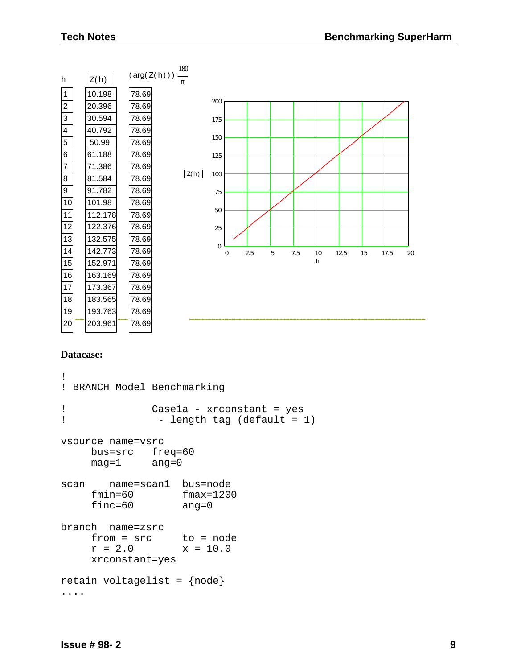| h                       | Z(h)    | $(\arg(Z(h)))\cdot\frac{100}{\log 2}$                                            |            |
|-------------------------|---------|----------------------------------------------------------------------------------|------------|
| $\vert$ 1               | 10.198  | 78.69                                                                            |            |
| $\overline{2}$          | 20.396  | 200<br>78.69                                                                     |            |
| $\mathbf{3}$            | 30.594  | 78.69<br>175                                                                     |            |
| $\overline{\mathbf{4}}$ | 40.792  | 78.69                                                                            |            |
| $\overline{5}$          | 50.99   | 150<br>78.69                                                                     |            |
| $\overline{6}$          | 61.188  | 78.69<br>125                                                                     |            |
| $\overline{7}$          | 71.386  | 78.69                                                                            |            |
| $\bf 8$                 | 81.584  | Z(h)<br>100<br>78.69                                                             |            |
| $\boldsymbol{9}$        | 91.782  | 78.69<br>75                                                                      |            |
| 10                      | 101.98  | 78.69                                                                            |            |
| 11                      | 112.178 | 50<br>78.69                                                                      |            |
| 12                      | 122.376 | 78.69<br>25                                                                      |            |
| 13                      | 132.575 | 78.69                                                                            |            |
| 14                      | 142.773 | $\mathbf{0}$<br>78.69<br>2.5<br>7.5<br>$\boldsymbol{0}$<br>12.5<br>15<br>5<br>10 | 17.5<br>20 |
| 15                      | 152.971 | h<br>78.69                                                                       |            |
| 16                      | 163.169 | 78.69                                                                            |            |
| 17                      | 173.367 | 78.69                                                                            |            |
| 18                      | 183.565 | 78.69                                                                            |            |
| 19                      | 193.763 | 78.69                                                                            |            |
| 20                      | 203.961 | 78.69                                                                            |            |

 $180$ 

#### **Datacase:**

```
!
! BRANCH Model Benchmarking
! Case1a - xrconstant = yes
! - length tag (default = 1)
vsource name=vsrc
    bus=src freq=60
    mag=1 ang=0
scan name=scan1 bus=node
    fmin=60 fmax=1200
    finc=60 ang=0
branch name=zsrc
    from = src to = node
    r = 2.0 x = 10.0xrconstant=yes
retain voltagelist = {node}
....
```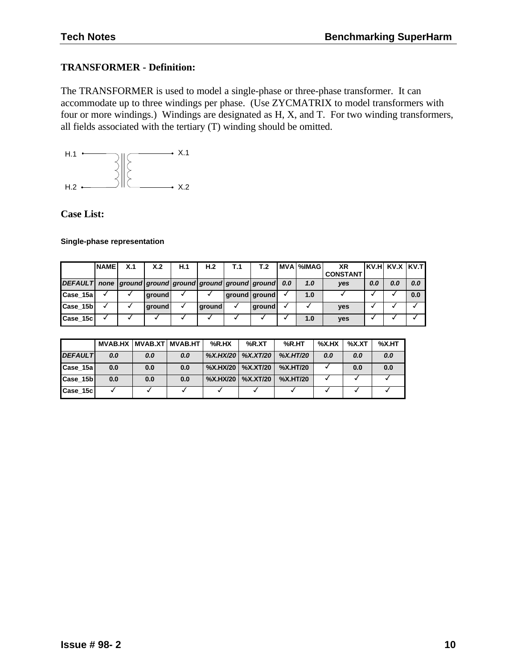#### **TRANSFORMER - Definition:**

The TRANSFORMER is used to model a single-phase or three-phase transformer. It can accommodate up to three windings per phase. (Use ZYCMATRIX to model transformers with four or more windings.) Windings are designated as H, X, and T. For two winding transformers, all fields associated with the tertiary (T) winding should be omitted.



**Case List:**

#### **Single-phase representation**

|                                                                      | <b>NAME</b> | X.1 | X.2           | H.1 | H <sub>2</sub> | Т.1 | T.2           |     | I MVA I%IMAG I | ХR<br><b>CONSTANT</b> |     | IKV.HI KV.X IKV.TI |     |
|----------------------------------------------------------------------|-------------|-----|---------------|-----|----------------|-----|---------------|-----|----------------|-----------------------|-----|--------------------|-----|
| [DEFAULT] none   ground   ground   ground   ground   ground   ground |             |     |               |     |                |     |               | 0.0 | 1.0            | yes                   | 0.0 | 0.0                | 0.0 |
| Case_15a                                                             |             |     | around        |     |                |     | ground ground |     | 1.0            |                       |     |                    | 0.0 |
| Case_15b                                                             |             |     | <b>around</b> |     | <b>around</b>  |     | ground        |     |                | <b>ves</b>            |     |                    |     |
| Case_15c                                                             |             |     |               |     |                |     |               |     | 1.0            | yes                   |     |                    |     |

|                      |     |     | MVAB.HX MVAB.XT MVAB.HT | $%$ R.HX | %R.XT               | %R.HT           | %X.HX | %X.XT | $\%$ X.HT |
|----------------------|-----|-----|-------------------------|----------|---------------------|-----------------|-------|-------|-----------|
| <b>DEFAULT</b>       | 0.0 | 0.0 | 0.0                     |          | %X.HX/20   %X.XT/20 | <b>%X.HT/20</b> | 0.0   | 0.0   | 0.0       |
| $\textsf{Case}\_15a$ | 0.0 | 0.0 | 0.0                     |          | %X.HX/20   %X.XT/20 | %X.HT/20        |       | 0.0   | 0.0       |
| Case_15b             | 0.0 | 0.0 | 0.0                     |          | %X.HX/20   %X.XT/20 | %X.HT/20        |       |       |           |
| Case 15c             |     |     |                         |          |                     |                 |       |       |           |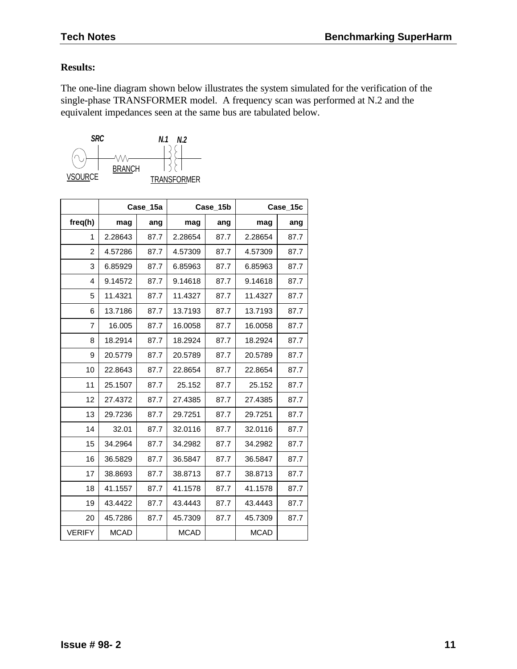### **Results:**

The one-line diagram shown below illustrates the system simulated for the verification of the single-phase TRANSFORMER model. A frequency scan was performed at N.2 and the equivalent impedances seen at the same bus are tabulated below.



|                |             | Case_15a |             | Case_15b |             | Case_15c |
|----------------|-------------|----------|-------------|----------|-------------|----------|
| freq(h)        | mag         | ang      | mag         | ang      | mag         | ang      |
| 1              | 2.28643     | 87.7     | 2.28654     | 87.7     | 2.28654     | 87.7     |
| 2              | 4.57286     | 87.7     | 4.57309     | 87.7     | 4.57309     | 87.7     |
| 3              | 6.85929     | 87.7     | 6.85963     | 87.7     | 6.85963     | 87.7     |
| 4              | 9.14572     | 87.7     | 9.14618     | 87.7     | 9.14618     | 87.7     |
| 5              | 11.4321     | 87.7     | 11.4327     | 87.7     | 11.4327     | 87.7     |
| 6              | 13.7186     | 87.7     | 13.7193     | 87.7     | 13.7193     | 87.7     |
| $\overline{7}$ | 16.005      | 87.7     | 16.0058     | 87.7     | 16.0058     | 87.7     |
| 8              | 18.2914     | 87.7     | 18.2924     | 87.7     | 18.2924     | 87.7     |
| 9              | 20.5779     | 87.7     | 20.5789     | 87.7     | 20.5789     | 87.7     |
| 10             | 22.8643     | 87.7     | 22.8654     | 87.7     | 22.8654     | 87.7     |
| 11             | 25.1507     | 87.7     | 25.152      | 87.7     | 25.152      | 87.7     |
| 12             | 27.4372     | 87.7     | 27.4385     | 87.7     | 27.4385     | 87.7     |
| 13             | 29.7236     | 87.7     | 29.7251     | 87.7     | 29.7251     | 87.7     |
| 14             | 32.01       | 87.7     | 32.0116     | 87.7     | 32.0116     | 87.7     |
| 15             | 34.2964     | 87.7     | 34.2982     | 87.7     | 34.2982     | 87.7     |
| 16             | 36.5829     | 87.7     | 36.5847     | 87.7     | 36.5847     | 87.7     |
| 17             | 38.8693     | 87.7     | 38.8713     | 87.7     | 38.8713     | 87.7     |
| 18             | 41.1557     | 87.7     | 41.1578     | 87.7     | 41.1578     | 87.7     |
| 19             | 43.4422     | 87.7     | 43.4443     | 87.7     | 43.4443     | 87.7     |
| 20             | 45.7286     | 87.7     | 45.7309     | 87.7     | 45.7309     | 87.7     |
| <b>VERIFY</b>  | <b>MCAD</b> |          | <b>MCAD</b> |          | <b>MCAD</b> |          |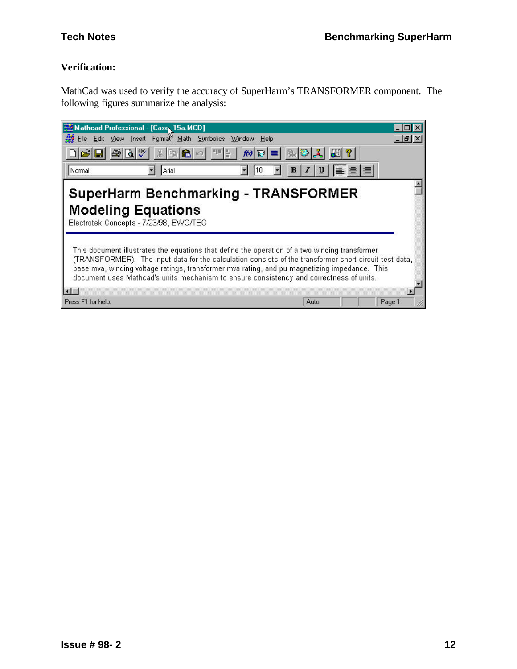# **Verification:**

MathCad was used to verify the accuracy of SuperHarm's TRANSFORMER component. The following figures summarize the analysis:

| Mathcad Professional - [Case 15a.MCD]                                                                                                                                                                                                                                                                                                                                                                |                                                                                                                                                                                                                                                                                                                                                                       |        |  |  |  |  |  |
|------------------------------------------------------------------------------------------------------------------------------------------------------------------------------------------------------------------------------------------------------------------------------------------------------------------------------------------------------------------------------------------------------|-----------------------------------------------------------------------------------------------------------------------------------------------------------------------------------------------------------------------------------------------------------------------------------------------------------------------------------------------------------------------|--------|--|--|--|--|--|
| View Insert Format Math Symbolics Window<br>开手<br>Edit<br>File                                                                                                                                                                                                                                                                                                                                       | Help                                                                                                                                                                                                                                                                                                                                                                  | 18     |  |  |  |  |  |
| $ \mathbb{R} ^n$<br>$\mathbf{u}$<br>一<br> 太阳色 の <br>$\mathcal{R}$ $\mathbf{E}$ =<br>Normal<br>Arial<br>110                                                                                                                                                                                                                                                                                           | 風や人<br>$\boxed{u}$ $\boxed{v}$ $\boxed{v}$ $\boxed{v}$ $\boxed{v}$ $\boxed{v}$ $\boxed{v}$ $\boxed{v}$ $\boxed{v}$ $\boxed{v}$ $\boxed{v}$ $\boxed{v}$ $\boxed{v}$ $\boxed{v}$ $\boxed{v}$ $\boxed{v}$ $\boxed{v}$ $\boxed{v}$ $\boxed{v}$ $\boxed{v}$ $\boxed{v}$ $\boxed{v}$ $\boxed{v}$ $\boxed{v}$ $\boxed{v}$ $\boxed{v}$ $\boxed{v}$ $\boxed{v$<br>$\mathbf{B}$ |        |  |  |  |  |  |
| <b>SuperHarm Benchmarking - TRANSFORMER</b><br><b>Modeling Equations</b><br>Electrotek Concepts - 7/23/98, EWG/TEG                                                                                                                                                                                                                                                                                   |                                                                                                                                                                                                                                                                                                                                                                       |        |  |  |  |  |  |
| This document illustrates the equations that define the operation of a two winding transformer<br>(TRANSFORMER). The input data for the calculation consists of the transformer short circuit test data,<br>base mva, winding voltage ratings, transformer mva rating, and pu magnetizing impedance. This<br>document uses Mathcad's units mechanism to ensure consistency and correctness of units. |                                                                                                                                                                                                                                                                                                                                                                       |        |  |  |  |  |  |
|                                                                                                                                                                                                                                                                                                                                                                                                      |                                                                                                                                                                                                                                                                                                                                                                       |        |  |  |  |  |  |
| Press F1 for help.                                                                                                                                                                                                                                                                                                                                                                                   | Auto                                                                                                                                                                                                                                                                                                                                                                  | Page 1 |  |  |  |  |  |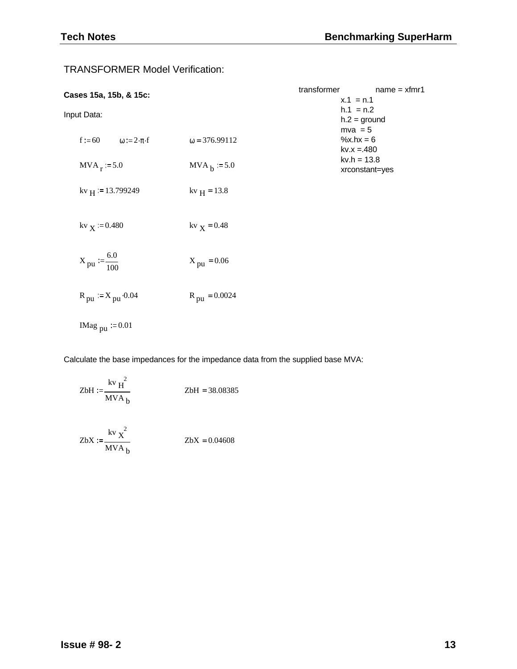| Cases 15a, 15b, & 15c:                       |                          | transformer | $name = xfmr1$<br>$x.1 = n.1$            |
|----------------------------------------------|--------------------------|-------------|------------------------------------------|
| Input Data:                                  |                          |             | $h.1 = n.2$<br>$h.2 = ground$            |
| $f := 60$<br>$\omega := 2 \cdot \pi \cdot f$ | $\omega = 376.99112$     |             | $mva = 5$<br>%x.hx = $6$<br>$kv.x = 480$ |
| $MVA_r = 5.0$                                | $MVAh := 5.0$            |             | $kv.h = 13.8$<br>xrconstant=yes          |
| kv $_H$ := 13.799249                         | $kv_{H} = 13.8$          |             |                                          |
| $kv_{X}$ := 0.480                            | $kv_{X} = 0.48$          |             |                                          |
| $X_{\text{pu}} := \frac{6.0}{100}$           | $X_{\text{pu}} = 0.06$   |             |                                          |
| $R_{\text{pu}} := X_{\text{pu}} \cdot 0.04$  | $R_{\text{pu}} = 0.0024$ |             |                                          |
| IMag $_{\text{pu}}$ = 0.01                   |                          |             |                                          |

TRANSFORMER Model Verification:

Calculate the base impedances for the impedance data from the supplied base MVA:

$$
ZbH := \frac{kv_H^2}{MVA_b}
$$
 
$$
ZbH = 38.08385
$$

$$
ZbX := \frac{kv \times ^2}{MVA_b}
$$
 
$$
ZbX = 0.04608
$$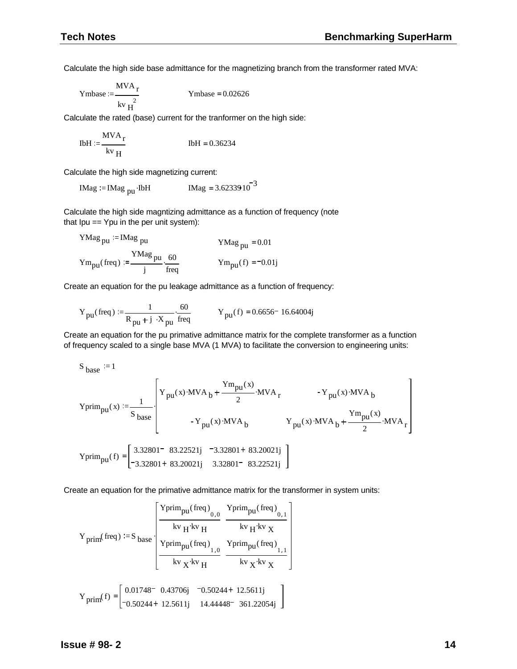Calculate the high side base admittance for the magnetizing branch from the transformer rated MVA:

$$
Ymbase := \frac{MVA_r}{kv_H^2}
$$
 Ymbase = 0.02626

Calculate the rated (base) current for the tranformer on the high side:

$$
I b H := \frac{M V A_r}{k v_H}
$$
 
$$
I b H = 0.36234
$$

Calculate the high side magnetizing current:

$$
IMag := IMag_{pu} IbH
$$
  $IMag = 3.6233910^{-3}$ 

Calculate the high side magntizing admittance as a function of frequency (note that Ipu == Ypu in the per unit system):

YMag<sub>pu</sub> := IMag<sub>pu</sub>

\nYMag<sub>pu</sub> = 0.01

\nYm<sub>pu</sub>(freq) :=

\n
$$
\frac{YMag_{pu}}{j} \cdot \frac{60}{freq}
$$
\nYm<sub>pu</sub>(f) = -0.01j

Create an equation for the pu leakage admittance as a function of frequency:

$$
Y_{pu}(\text{freq}) := \frac{1}{R_{pu} + j \cdot X_{pu}} \cdot \frac{60}{freq}
$$
 
$$
Y_{pu}(f) = 0.6656 - 16.64004j
$$

Create an equation for the pu primative admittance matrix for the complete transformer as a function of frequency scaled to a single base MVA (1 MVA) to facilitate the conversion to engineering units:

$$
S_{base} := 1
$$
  
\n
$$
Y \text{prim}_{pu}(x) := \frac{1}{S_{base}} \left[ Y_{pu}(x) \cdot MVA_{b} + \frac{Ym_{pu}(x)}{2} \cdot MVA_{r} - Y_{pu}(x) \cdot MVA_{b} + \frac{Ym_{pu}(x)}{2} \cdot NVA_{r} + \frac{Ym_{pu}(x)}{2} \cdot MVA_{r} + \frac{Ym_{pu}(x)}{2} \cdot MVA_{r} + \frac{Ym_{pu}(x)}{2} \cdot MVA_{r} + \frac{Ym_{pu}(x)}{2} \cdot MVA_{r} + \frac{Ym_{pu}(x)}{2} \cdot MVA_{r} + \frac{Ym_{pu}(x)}{2} \cdot MVA_{r} + \frac{Ym_{pu}(x)}{2} \cdot MVA_{r} + \frac{Ym_{pu}(x)}{2} \cdot MVA_{r} + \frac{Ym_{pu}(x)}{2} \cdot MVA_{r} + \frac{Ym_{pu}(x)}{2} \cdot MVA_{r} + \frac{Ym_{pu}(x)}{2} \cdot MVA_{r} + \frac{Ym_{pu}(x)}{2} \cdot MVA_{r} + \frac{Ym_{pu}(x)}{2} \cdot MVA_{r} + \frac{Ym_{pu}(x)}{2} \cdot MVA_{r} + \frac{Ym_{pu}(x)}{2} \cdot MVA_{r} + \frac{Ym_{pu}(x)}{2} \cdot MVA_{r} + \frac{Ym_{pu}(x)}{2} \cdot MVA_{r} + \frac{Ym_{pu}(x)}{2} \cdot MVA_{r} + \frac{Ym_{pu}(x)}{2} \cdot MVA_{r} + \frac{Ym_{pu}(x)}{2} \cdot MVA_{r} + \frac{Ym_{pu}(x)}{2} \cdot MVA_{r} + \frac{Ym_{pu}(x)}{2} \cdot MVA_{r} + \frac{Ym_{pu}(x)}{2} \cdot MVA_{r} + \frac{Ym_{pu}(x)}{2} \cdot MVA_{r} + \frac{Ym_{pu}(x)}{2} \cdot MVA_{r} + \frac{Ym_{pu}(x)}{2} \cdot MVA_{r} + \frac{Ym_{pu}(x)}{2} \cdot MVA_{r} + \frac{Ym_{pu}(x)}{2} \cdot MVA_{r} + \frac{Ym_{pu}(x)}{2} \cdot MVA_{r} + \frac{Ym_{pu}(x)}{2} \cdot MVA_{r} + \frac{Ym_{pu}(x)}{2} \cdot MVA
$$

Create an equation for the primative admittance matrix for the transformer in system units:

$$
Y_{prim}(freq) := S_{base} \begin{bmatrix} \frac{Yprim_{pu}(freq)}{0.0} & \frac{Yprim_{pu}(freq)}{kv_H k v_H} \\ \frac{k v_H k v_H}{kv_H} & \frac{k v_H k v_X}{kv_H k v_X} \end{bmatrix}
$$
\n
$$
Y_{prim}(f) = \begin{bmatrix} 0.01748^- & 0.43706j & -0.50244 + 12.5611j \\ -0.50244 + 12.5611j & 14.44448^- & 361.22054j \end{bmatrix}
$$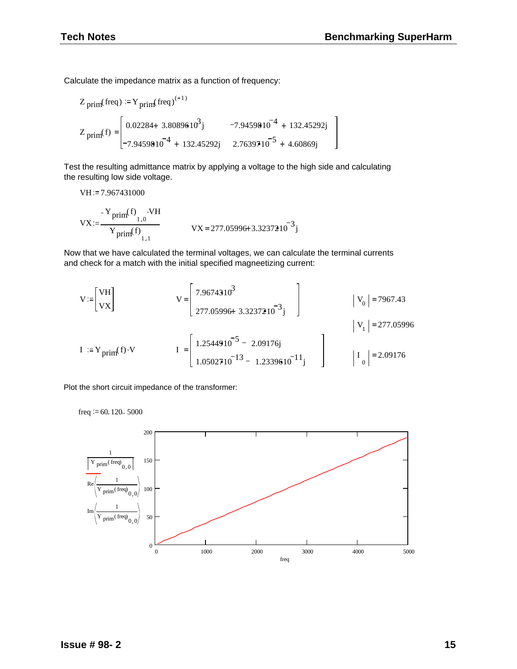Calculate the impedance matrix as a function of frequency:

$$
Z_{\text{prim}}(\text{freq}) := Y_{\text{prim}}(\text{freq})^{(-1)}
$$
  

$$
Z_{\text{prim}}(f) = \begin{bmatrix} 0.02284 + 3.8089610^{3}j & -7.9459810^{-4} + 132.45292j \\ -7.9459810^{-4} + 132.45292j & 2.7639710^{-5} + 4.60869j \end{bmatrix}
$$

Test the resulting admittance matrix by applying a voltage to the high side and calculating the resulting low side voltage.

VH := 7.967431000  
\n
$$
VX := \frac{Y_{\text{prim}}(f) \cdot VH}{Y_{\text{prim}}(f) \cdot VH} \qquad \qquad VX = 277.05996 + 3.3237210^{-3}j
$$

Now that we have calculated the terminal voltages, we can calculate the terminal currents and check for a match with the initial specified magneetizing current:

$$
V := \begin{bmatrix} VH \\ vx \end{bmatrix} \qquad \qquad V = \begin{bmatrix} 7.9674310^{3} \\ 277.05996 + 3.3237210^{-3} \end{bmatrix} \qquad \qquad \qquad |V_{0}| = 7967.43
$$
\n
$$
I := Y_{\text{prim}}(f) \cdot V \qquad \qquad I = \begin{bmatrix} 1.2544910^{-5} - 2.09176j \\ 1.0502710^{-13} - 1.2339610^{-11} \end{bmatrix} \qquad \qquad \qquad |V_{1}| = 277.05996
$$

Plot the short circuit impedance of the transformer:

freq  $= 60, 120$ .. 5000

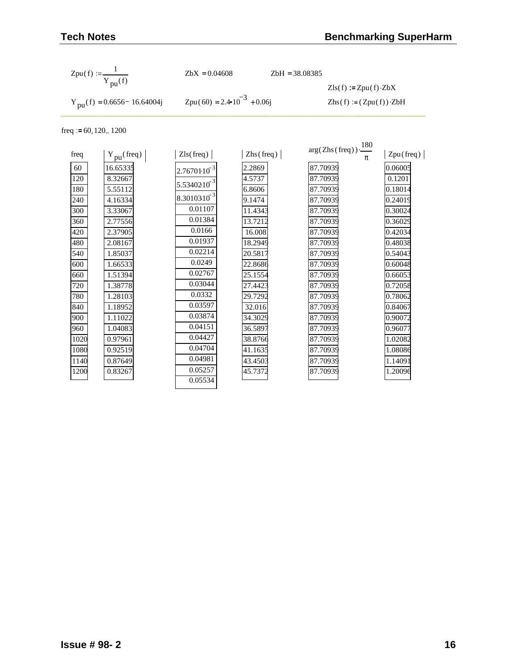| Zpu(f) := $\frac{1}{Y_{\text{pu}}(f)}$  | $ZbX = 0.04608$                       | $ZbH = 38.08385$ |                                |
|-----------------------------------------|---------------------------------------|------------------|--------------------------------|
|                                         |                                       |                  | $Zls(f) := Zpu(f) \cdot ZbX$   |
| $Y_{\text{nu}}(f) = 0.6656 - 16.64004j$ | $Zpu(60) = 2.4 \cdot 10^{-3} + 0.06i$ |                  | $Zhs(f) := (Zpu(f)) \cdot ZbH$ |

freq  $:= 60, 120, 1200$ 

|      |                              |                  |                           | $arg(Zhs(freq))\cdot\frac{180}{180}$ |           |
|------|------------------------------|------------------|---------------------------|--------------------------------------|-----------|
| freq | $Y_{\text{pu}}(\text{freq})$ | Zls(freq)        | $\text{Zhs}(\text{freq})$ | π                                    | Zpu(freq) |
| 60   | 16.65335                     | $2.7670110^{-3}$ | 2.2869                    | 87.70939                             | 0.06005   |
| 120  | 8.32667                      |                  | 4.5737                    | 87.70939                             | 0.1201    |
| 180  | 5.55112                      | $5.5340210^{-3}$ | 6.8606                    | 87.70939                             | 0.18014   |
| 240  | 4.16334                      | $8.3010310^{-3}$ | 9.1474                    | 87.70939                             | 0.24019   |
| 300  | 3.33067                      | 0.01107          | 11.4343                   | 87.70939                             | 0.30024   |
| 360  | 2.77556                      | 0.01384          | 13.7212                   | 87.70939                             | 0.36029   |
| 420  | 2.37905                      | 0.0166           | 16.008                    | 87.70939                             | 0.42034   |
| 480  | 2.08167                      | 0.01937          | 18.2949                   | 87.70939                             | 0.48038   |
| 540  | 1.85037                      | 0.02214          | 20.5817                   | 87.70939                             | 0.54043   |
| 600  | 1.66533                      | 0.0249           | 22.8686                   | 87.70939                             | 0.60048   |
| 660  | 1.51394                      | 0.02767          | 25.1554                   | 87.70939                             | 0.66053   |
| 720  | 1.38778                      | 0.03044          | 27.4423                   | 87.70939                             | 0.72058   |
| 780  | 1.28103                      | 0.0332           | 29.7292                   | 87.70939                             | 0.78062   |
| 840  | 1.18952                      | 0.03597          | 32.016                    | 87.70939                             | 0.84067   |
| 900  | 1.11022                      | 0.03874          | 34.3029                   | 87.70939                             | 0.90072   |
| 960  | 1.04083                      | 0.04151          | 36.5897                   | 87.70939                             | 0.96077   |
| 1020 | 0.97961                      | 0.04427          | 38.8766                   | 87.70939                             | 1.02082   |
| 1080 | 0.92519                      | 0.04704          | 41.1635                   | 87.70939                             | 1.08086   |
| 1140 | 0.87649                      | 0.04981          | 43.4503                   | 87.70939                             | 1.14091   |
| 1200 | 0.83267                      | 0.05257          | 45.7372                   | 87.70939                             | 1.20096   |
|      |                              | 0.05534          |                           |                                      |           |
|      |                              |                  |                           |                                      |           |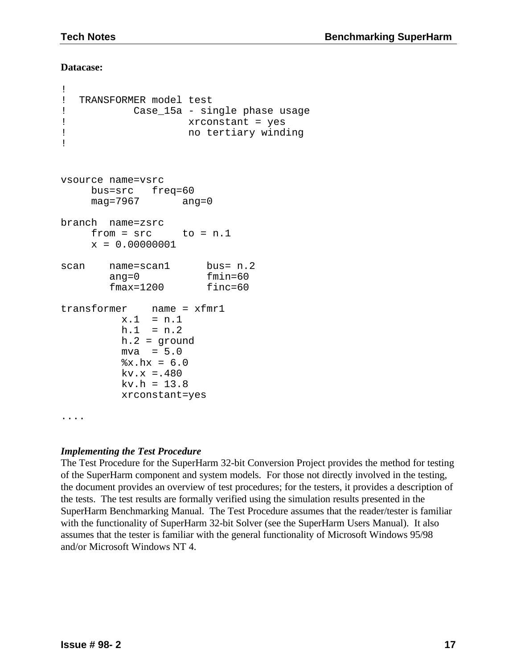#### **Datacase:**

```
!
! TRANSFORMER model test
! Case_15a - single phase usage
! xrconstant = yes
! no tertiary winding
!
vsource name=vsrc
    bus=src freq=60
    mag=7967 ang=0
branch name=zsrc
    from = src to = n.1x = 0.00000001scan name=scan1 bus= n.2
       ang=0 fmin=60
       fmax=1200 finc=60
transformer name = xfmr1
        x.1 = n.1h.1 = n.2h.2 = ground
        mva = 5.0x.hx = 6.0kv.x = .480kv.h = 13.8xrconstant=yes
....
```
### *Implementing the Test Procedure*

The Test Procedure for the SuperHarm 32-bit Conversion Project provides the method for testing of the SuperHarm component and system models. For those not directly involved in the testing, the document provides an overview of test procedures; for the testers, it provides a description of the tests. The test results are formally verified using the simulation results presented in the SuperHarm Benchmarking Manual. The Test Procedure assumes that the reader/tester is familiar with the functionality of SuperHarm 32-bit Solver (see the SuperHarm Users Manual). It also assumes that the tester is familiar with the general functionality of Microsoft Windows 95/98 and/or Microsoft Windows NT 4.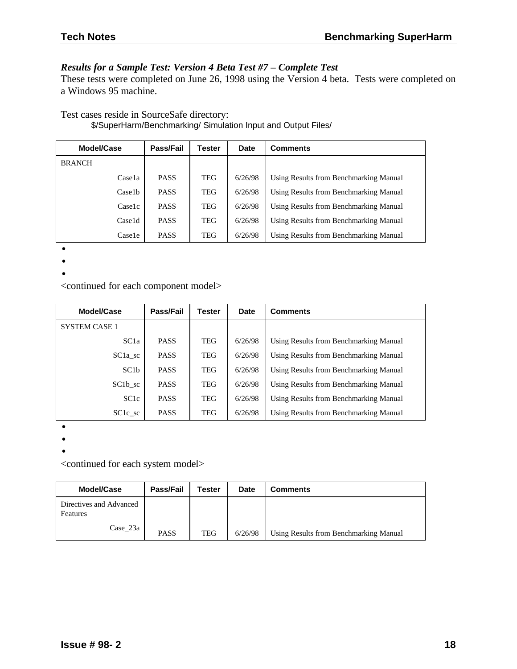## *Results for a Sample Test: Version 4 Beta Test #7 – Complete Test*

These tests were completed on June 26, 1998 using the Version 4 beta. Tests were completed on a Windows 95 machine.

Test cases reside in SourceSafe directory: \$/SuperHarm/Benchmarking/ Simulation Input and Output Files/

| Model/Case    | Pass/Fail   | Tester     | <b>Date</b> | <b>Comments</b>                        |
|---------------|-------------|------------|-------------|----------------------------------------|
| <b>BRANCH</b> |             |            |             |                                        |
| Casela        | <b>PASS</b> | <b>TEG</b> | 6/26/98     | Using Results from Benchmarking Manual |
| Case1b        | <b>PASS</b> | <b>TEG</b> | 6/26/98     | Using Results from Benchmarking Manual |
| Caselc        | <b>PASS</b> | <b>TEG</b> | 6/26/98     | Using Results from Benchmarking Manual |
| Case1d        | <b>PASS</b> | <b>TEG</b> | 6/26/98     | Using Results from Benchmarking Manual |
| Casele        | <b>PASS</b> | TEG        | 6/26/98     | Using Results from Benchmarking Manual |

•

•

•

<continued for each component model>

| Model/Case            | Pass/Fail   | <b>Tester</b> | Date    | <b>Comments</b>                        |
|-----------------------|-------------|---------------|---------|----------------------------------------|
| <b>SYSTEM CASE 1</b>  |             |               |         |                                        |
| SC <sub>1</sub> a     | <b>PASS</b> | TEG           | 6/26/98 | Using Results from Benchmarking Manual |
| $SC1a$ <sub>_sc</sub> | <b>PASS</b> | <b>TEG</b>    | 6/26/98 | Using Results from Benchmarking Manual |
| SC1b                  | <b>PASS</b> | TEG           | 6/26/98 | Using Results from Benchmarking Manual |
| SC1b sc               | <b>PASS</b> | TEG           | 6/26/98 | Using Results from Benchmarking Manual |
| SC <sub>1c</sub>      | <b>PASS</b> | TEG           | 6/26/98 | Using Results from Benchmarking Manual |
| $SC1c$ <sub>_sc</sub> | <b>PASS</b> | <b>TEG</b>    | 6/26/98 | Using Results from Benchmarking Manual |

•

•

•

<continued for each system model>

| Model/Case                          | Pass/Fail   | Tester | <b>Date</b> | <b>Comments</b>                        |
|-------------------------------------|-------------|--------|-------------|----------------------------------------|
| Directives and Advanced<br>Features |             |        |             |                                        |
| Case 23a                            | <b>PASS</b> | TEG    | 6/26/98     | Using Results from Benchmarking Manual |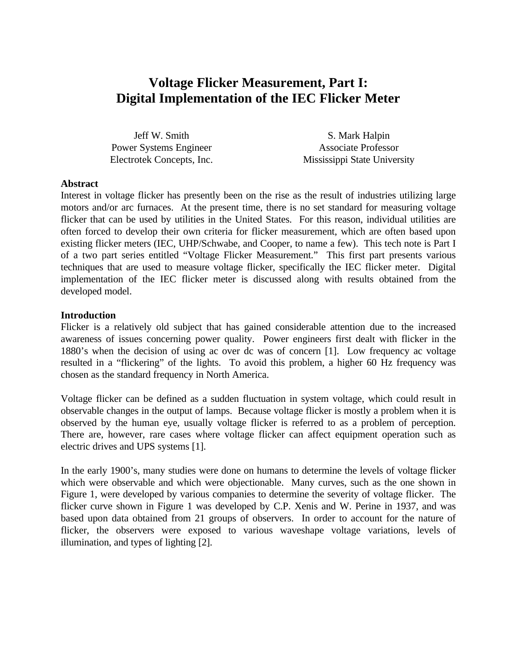# **Voltage Flicker Measurement, Part I: Digital Implementation of the IEC Flicker Meter**

Jeff W. Smith Power Systems Engineer Electrotek Concepts, Inc.

S. Mark Halpin Associate Professor Mississippi State University

#### **Abstract**

Interest in voltage flicker has presently been on the rise as the result of industries utilizing large motors and/or arc furnaces. At the present time, there is no set standard for measuring voltage flicker that can be used by utilities in the United States. For this reason, individual utilities are often forced to develop their own criteria for flicker measurement, which are often based upon existing flicker meters (IEC, UHP/Schwabe, and Cooper, to name a few). This tech note is Part I of a two part series entitled "Voltage Flicker Measurement." This first part presents various techniques that are used to measure voltage flicker, specifically the IEC flicker meter. Digital implementation of the IEC flicker meter is discussed along with results obtained from the developed model.

#### **Introduction**

Flicker is a relatively old subject that has gained considerable attention due to the increased awareness of issues concerning power quality. Power engineers first dealt with flicker in the 1880's when the decision of using ac over dc was of concern [1]. Low frequency ac voltage resulted in a "flickering" of the lights. To avoid this problem, a higher 60 Hz frequency was chosen as the standard frequency in North America.

Voltage flicker can be defined as a sudden fluctuation in system voltage, which could result in observable changes in the output of lamps. Because voltage flicker is mostly a problem when it is observed by the human eye, usually voltage flicker is referred to as a problem of perception. There are, however, rare cases where voltage flicker can affect equipment operation such as electric drives and UPS systems [1].

In the early 1900's, many studies were done on humans to determine the levels of voltage flicker which were observable and which were objectionable. Many curves, such as the one shown in Figure 1, were developed by various companies to determine the severity of voltage flicker. The flicker curve shown in Figure 1 was developed by C.P. Xenis and W. Perine in 1937, and was based upon data obtained from 21 groups of observers. In order to account for the nature of flicker, the observers were exposed to various waveshape voltage variations, levels of illumination, and types of lighting [2].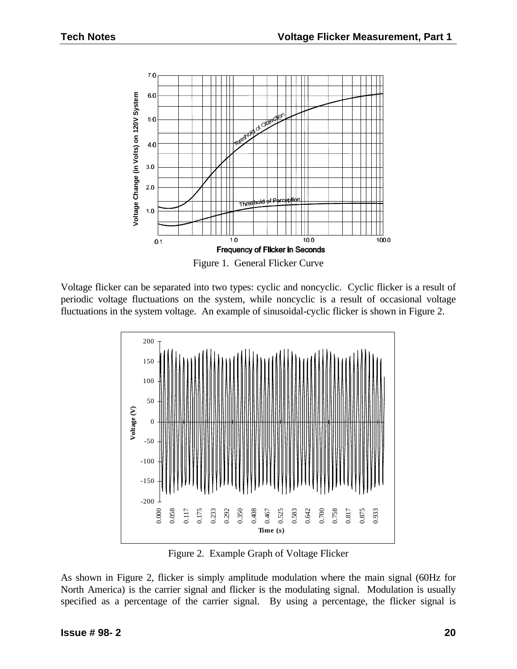

Voltage flicker can be separated into two types: cyclic and noncyclic. Cyclic flicker is a result of periodic voltage fluctuations on the system, while noncyclic is a result of occasional voltage fluctuations in the system voltage. An example of sinusoidal-cyclic flicker is shown in Figure 2.



Figure 2. Example Graph of Voltage Flicker

As shown in Figure 2, flicker is simply amplitude modulation where the main signal (60Hz for North America) is the carrier signal and flicker is the modulating signal. Modulation is usually specified as a percentage of the carrier signal. By using a percentage, the flicker signal is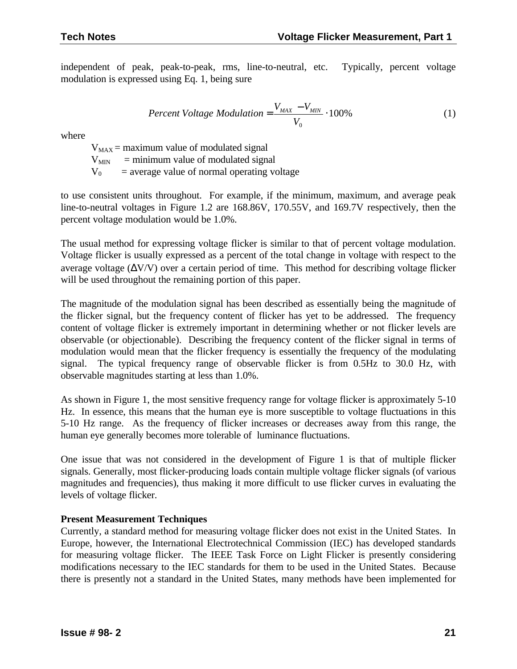independent of peak, peak-to-peak, rms, line-to-neutral, etc. Typically, percent voltage modulation is expressed using Eq. 1, being sure

$$
Percent Voltage Modulation = \frac{V_{MAX} - V_{MIN}}{V_0} \cdot 100\%
$$
 (1)

where

 $V_{MAX}$  = maximum value of modulated signal  $V_{\text{MIN}}$  = minimum value of modulated signal  $V_0$  = average value of normal operating voltage

to use consistent units throughout. For example, if the minimum, maximum, and average peak line-to-neutral voltages in Figure 1.2 are 168.86V, 170.55V, and 169.7V respectively, then the percent voltage modulation would be 1.0%.

The usual method for expressing voltage flicker is similar to that of percent voltage modulation. Voltage flicker is usually expressed as a percent of the total change in voltage with respect to the average voltage  $(\Delta V/V)$  over a certain period of time. This method for describing voltage flicker will be used throughout the remaining portion of this paper.

The magnitude of the modulation signal has been described as essentially being the magnitude of the flicker signal, but the frequency content of flicker has yet to be addressed. The frequency content of voltage flicker is extremely important in determining whether or not flicker levels are observable (or objectionable). Describing the frequency content of the flicker signal in terms of modulation would mean that the flicker frequency is essentially the frequency of the modulating signal. The typical frequency range of observable flicker is from 0.5Hz to 30.0 Hz, with observable magnitudes starting at less than 1.0%.

As shown in Figure 1, the most sensitive frequency range for voltage flicker is approximately 5-10 Hz. In essence, this means that the human eye is more susceptible to voltage fluctuations in this 5-10 Hz range. As the frequency of flicker increases or decreases away from this range, the human eye generally becomes more tolerable of luminance fluctuations.

One issue that was not considered in the development of Figure 1 is that of multiple flicker signals. Generally, most flicker-producing loads contain multiple voltage flicker signals (of various magnitudes and frequencies), thus making it more difficult to use flicker curves in evaluating the levels of voltage flicker.

### **Present Measurement Techniques**

Currently, a standard method for measuring voltage flicker does not exist in the United States. In Europe, however, the International Electrotechnical Commission (IEC) has developed standards for measuring voltage flicker. The IEEE Task Force on Light Flicker is presently considering modifications necessary to the IEC standards for them to be used in the United States. Because there is presently not a standard in the United States, many methods have been implemented for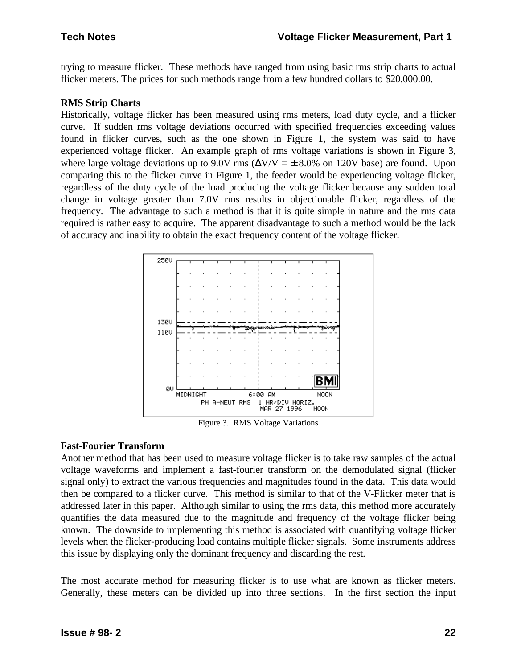trying to measure flicker. These methods have ranged from using basic rms strip charts to actual flicker meters. The prices for such methods range from a few hundred dollars to \$20,000.00.

#### **RMS Strip Charts**

Historically, voltage flicker has been measured using rms meters, load duty cycle, and a flicker curve. If sudden rms voltage deviations occurred with specified frequencies exceeding values found in flicker curves, such as the one shown in Figure 1, the system was said to have experienced voltage flicker. An example graph of rms voltage variations is shown in Figure 3, where large voltage deviations up to 9.0V rms ( $\Delta V/V = \pm 8.0\%$  on 120V base) are found. Upon comparing this to the flicker curve in Figure 1, the feeder would be experiencing voltage flicker, regardless of the duty cycle of the load producing the voltage flicker because any sudden total change in voltage greater than 7.0V rms results in objectionable flicker, regardless of the frequency. The advantage to such a method is that it is quite simple in nature and the rms data required is rather easy to acquire. The apparent disadvantage to such a method would be the lack of accuracy and inability to obtain the exact frequency content of the voltage flicker.



Figure 3. RMS Voltage Variations

#### **Fast-Fourier Transform**

Another method that has been used to measure voltage flicker is to take raw samples of the actual voltage waveforms and implement a fast-fourier transform on the demodulated signal (flicker signal only) to extract the various frequencies and magnitudes found in the data. This data would then be compared to a flicker curve. This method is similar to that of the V-Flicker meter that is addressed later in this paper. Although similar to using the rms data, this method more accurately quantifies the data measured due to the magnitude and frequency of the voltage flicker being known. The downside to implementing this method is associated with quantifying voltage flicker levels when the flicker-producing load contains multiple flicker signals. Some instruments address this issue by displaying only the dominant frequency and discarding the rest.

The most accurate method for measuring flicker is to use what are known as flicker meters. Generally, these meters can be divided up into three sections. In the first section the input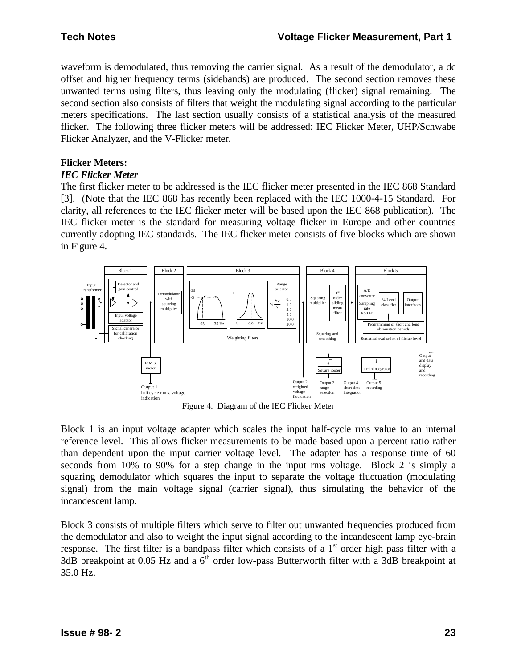waveform is demodulated, thus removing the carrier signal. As a result of the demodulator, a dc offset and higher frequency terms (sidebands) are produced. The second section removes these unwanted terms using filters, thus leaving only the modulating (flicker) signal remaining. The second section also consists of filters that weight the modulating signal according to the particular meters specifications. The last section usually consists of a statistical analysis of the measured flicker. The following three flicker meters will be addressed: IEC Flicker Meter, UHP/Schwabe Flicker Analyzer, and the V-Flicker meter.

### **Flicker Meters:**

#### *IEC Flicker Meter*

The first flicker meter to be addressed is the IEC flicker meter presented in the IEC 868 Standard [3]. (Note that the IEC 868 has recently been replaced with the IEC 1000-4-15 Standard. For clarity, all references to the IEC flicker meter will be based upon the IEC 868 publication). The IEC flicker meter is the standard for measuring voltage flicker in Europe and other countries currently adopting IEC standards. The IEC flicker meter consists of five blocks which are shown in Figure 4.



Figure 4. Diagram of the IEC Flicker Meter

Block 1 is an input voltage adapter which scales the input half-cycle rms value to an internal reference level. This allows flicker measurements to be made based upon a percent ratio rather than dependent upon the input carrier voltage level. The adapter has a response time of 60 seconds from 10% to 90% for a step change in the input rms voltage. Block 2 is simply a squaring demodulator which squares the input to separate the voltage fluctuation (modulating signal) from the main voltage signal (carrier signal), thus simulating the behavior of the incandescent lamp.

Block 3 consists of multiple filters which serve to filter out unwanted frequencies produced from the demodulator and also to weight the input signal according to the incandescent lamp eye-brain response. The first filter is a bandpass filter which consists of a  $1<sup>st</sup>$  order high pass filter with a 3dB breakpoint at 0.05 Hz and a  $6<sup>th</sup>$  order low-pass Butterworth filter with a 3dB breakpoint at 35.0 Hz.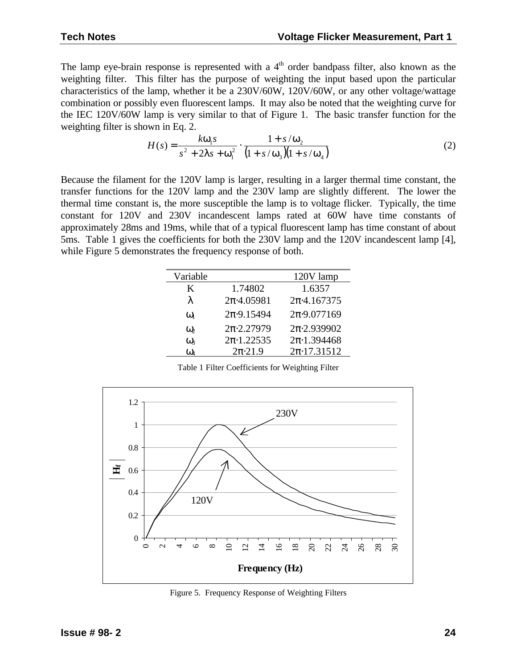The lamp eye-brain response is represented with a  $4<sup>th</sup>$  order bandpass filter, also known as the weighting filter. This filter has the purpose of weighting the input based upon the particular characteristics of the lamp, whether it be a 230V/60W, 120V/60W, or any other voltage/wattage combination or possibly even fluorescent lamps. It may also be noted that the weighting curve for the IEC 120V/60W lamp is very similar to that of Figure 1. The basic transfer function for the weighting filter is shown in Eq. 2.

$$
H(s) = \frac{k w_1 s}{s^2 + 2Is + w_1^2} \cdot \frac{1 + s/w_2}{(1 + s/w_3)(1 + s/w_4)}
$$
(2)

Because the filament for the 120V lamp is larger, resulting in a larger thermal time constant, the transfer functions for the 120V lamp and the 230V lamp are slightly different. The lower the thermal time constant is, the more susceptible the lamp is to voltage flicker. Typically, the time constant for 120V and 230V incandescent lamps rated at 60W have time constants of approximately 28ms and 19ms, while that of a typical fluorescent lamp has time constant of about 5ms. Table 1 gives the coefficients for both the 230V lamp and the 120V incandescent lamp [4], while Figure 5 demonstrates the frequency response of both.

| Variable   |                      | 120V lamp             |
|------------|----------------------|-----------------------|
| K          | 1.74802              | 1.6357                |
| $\lambda$  | $2\pi$ ·4.05981      | $2\pi$ -4.167375      |
| $\omega_1$ | $2\pi.9.15494$       | $2\pi \cdot 9.077169$ |
| $\omega$   | $2\pi \cdot 2.27979$ | $2\pi \cdot 2.939902$ |
| $\omega$   | $2\pi \cdot 1.22535$ | $2\pi \cdot 1.394468$ |
| $\omega$   | $2\pi \cdot 21.9$    | $2\pi \cdot 17.31512$ |

Table 1 Filter Coefficients for Weighting Filter



Figure 5. Frequency Response of Weighting Filters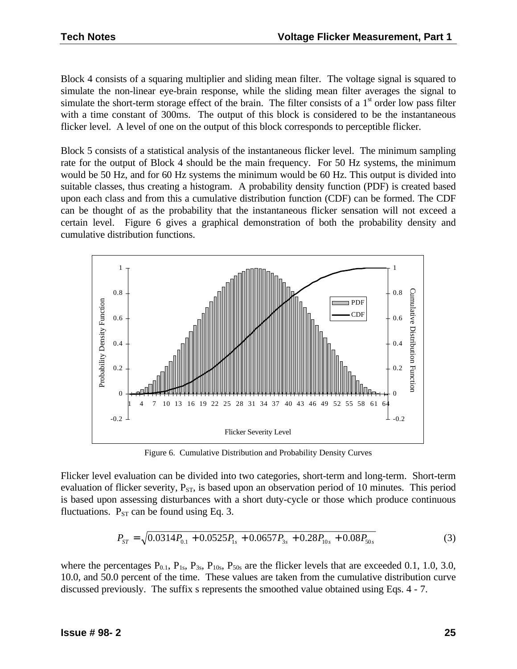Block 4 consists of a squaring multiplier and sliding mean filter. The voltage signal is squared to simulate the non-linear eye-brain response, while the sliding mean filter averages the signal to simulate the short-term storage effect of the brain. The filter consists of a  $1<sup>st</sup>$  order low pass filter with a time constant of 300ms. The output of this block is considered to be the instantaneous flicker level. A level of one on the output of this block corresponds to perceptible flicker.

Block 5 consists of a statistical analysis of the instantaneous flicker level. The minimum sampling rate for the output of Block 4 should be the main frequency. For 50 Hz systems, the minimum would be 50 Hz, and for 60 Hz systems the minimum would be 60 Hz. This output is divided into suitable classes, thus creating a histogram. A probability density function (PDF) is created based upon each class and from this a cumulative distribution function (CDF) can be formed. The CDF can be thought of as the probability that the instantaneous flicker sensation will not exceed a certain level. Figure 6 gives a graphical demonstration of both the probability density and cumulative distribution functions.



Figure 6. Cumulative Distribution and Probability Density Curves

Flicker level evaluation can be divided into two categories, short-term and long-term. Short-term evaluation of flicker severity,  $P_{ST}$ , is based upon an observation period of 10 minutes. This period is based upon assessing disturbances with a short duty-cycle or those which produce continuous fluctuations.  $P_{ST}$  can be found using Eq. 3.

$$
P_{ST} = \sqrt{0.0314P_{0.1} + 0.0525P_{1s} + 0.0657P_{3s} + 0.28P_{10s} + 0.08P_{50s}} \tag{3}
$$

where the percentages  $P_{0.1}$ ,  $P_{1s}$ ,  $P_{3s}$ ,  $P_{10s}$ ,  $P_{50s}$  are the flicker levels that are exceeded 0.1, 1.0, 3.0, 10.0, and 50.0 percent of the time. These values are taken from the cumulative distribution curve discussed previously. The suffix s represents the smoothed value obtained using Eqs. 4 - 7.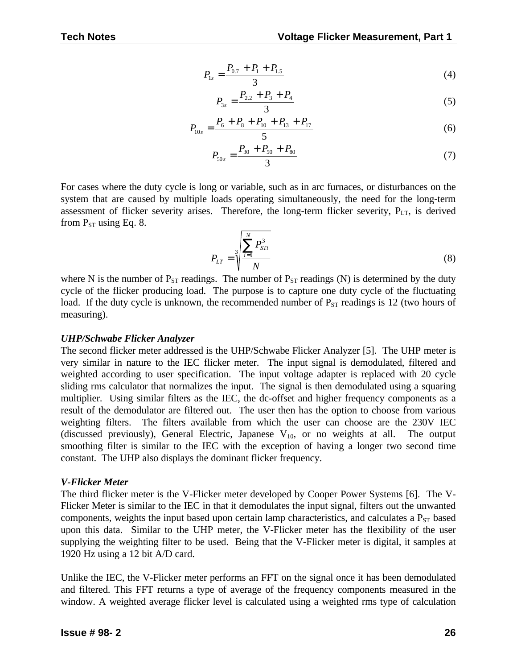$$
P_{1s} = \frac{P_{0.7} + P_1 + P_{1.5}}{3} \tag{4}
$$

$$
P_{3s} = \frac{P_{2,2} + P_3 + P_4}{3} \tag{5}
$$

$$
P_{10s} = \frac{P_6 + P_8 + P_{10} + P_{13} + P_{17}}{5}
$$
 (6)

$$
P_{50s} = \frac{P_{30} + P_{50} + P_{80}}{3} \tag{7}
$$

For cases where the duty cycle is long or variable, such as in arc furnaces, or disturbances on the system that are caused by multiple loads operating simultaneously, the need for the long-term assessment of flicker severity arises. Therefore, the long-term flicker severity,  $P_{LT}$ , is derived from  $P_{ST}$  using Eq. 8.

$$
P_{LT} = \sqrt[3]{\frac{\sum_{i=1}^{N} P_{STi}^3}{N}}
$$
 (8)

where N is the number of  $P_{ST}$  readings. The number of  $P_{ST}$  readings (N) is determined by the duty cycle of the flicker producing load. The purpose is to capture one duty cycle of the fluctuating load. If the duty cycle is unknown, the recommended number of  $P_{ST}$  readings is 12 (two hours of measuring).

#### *UHP/Schwabe Flicker Analyzer*

The second flicker meter addressed is the UHP/Schwabe Flicker Analyzer [5]. The UHP meter is very similar in nature to the IEC flicker meter. The input signal is demodulated, filtered and weighted according to user specification. The input voltage adapter is replaced with 20 cycle sliding rms calculator that normalizes the input. The signal is then demodulated using a squaring multiplier. Using similar filters as the IEC, the dc-offset and higher frequency components as a result of the demodulator are filtered out. The user then has the option to choose from various weighting filters. The filters available from which the user can choose are the 230V IEC (discussed previously), General Electric, Japanese  $V_{10}$ , or no weights at all. The output smoothing filter is similar to the IEC with the exception of having a longer two second time constant. The UHP also displays the dominant flicker frequency.

#### *V-Flicker Meter*

The third flicker meter is the V-Flicker meter developed by Cooper Power Systems [6]. The V-Flicker Meter is similar to the IEC in that it demodulates the input signal, filters out the unwanted components, weights the input based upon certain lamp characteristics, and calculates a  $P_{ST}$  based upon this data. Similar to the UHP meter, the V-Flicker meter has the flexibility of the user supplying the weighting filter to be used. Being that the V-Flicker meter is digital, it samples at 1920 Hz using a 12 bit A/D card.

Unlike the IEC, the V-Flicker meter performs an FFT on the signal once it has been demodulated and filtered. This FFT returns a type of average of the frequency components measured in the window. A weighted average flicker level is calculated using a weighted rms type of calculation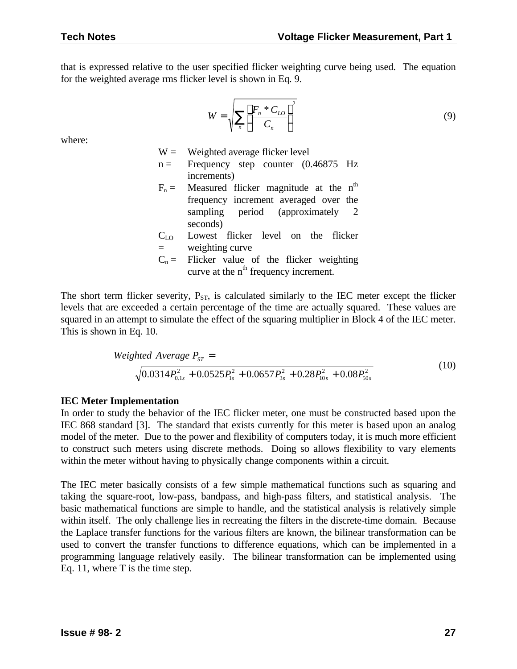that is expressed relative to the user specified flicker weighting curve being used. The equation for the weighted average rms flicker level is shown in Eq. 9.

$$
W = \sqrt{\sum_{n} \left[ \frac{F_n * C_{LO}}{C_n} \right]^2}
$$
 (9)

where:

 $W =$  Weighted average flicker level  $n =$  Frequency step counter (0.46875 Hz increments)  $F_n$  = Measured flicker magnitude at the n<sup>th</sup> frequency increment averaged over the sampling period (approximately 2 seconds)

- $C_{LO}$  $=$ Lowest flicker level on the flicker weighting curve
- $C_n$  = Flicker value of the flicker weighting curve at the  $n<sup>th</sup>$  frequency increment.

The short term flicker severity,  $P_{ST}$ , is calculated similarly to the IEC meter except the flicker levels that are exceeded a certain percentage of the time are actually squared. These values are squared in an attempt to simulate the effect of the squaring multiplier in Block 4 of the IEC meter. This is shown in Eq. 10.

$$
Weighted Average P_{ST} = \sqrt{0.0314 P_{0.1s}^2 + 0.0525 P_{1s}^2 + 0.0657 P_{3s}^2 + 0.28 P_{10s}^2 + 0.08 P_{50s}^2}
$$
(10)

#### **IEC Meter Implementation**

In order to study the behavior of the IEC flicker meter, one must be constructed based upon the IEC 868 standard [3]. The standard that exists currently for this meter is based upon an analog model of the meter. Due to the power and flexibility of computers today, it is much more efficient to construct such meters using discrete methods. Doing so allows flexibility to vary elements within the meter without having to physically change components within a circuit.

The IEC meter basically consists of a few simple mathematical functions such as squaring and taking the square-root, low-pass, bandpass, and high-pass filters, and statistical analysis. The basic mathematical functions are simple to handle, and the statistical analysis is relatively simple within itself. The only challenge lies in recreating the filters in the discrete-time domain. Because the Laplace transfer functions for the various filters are known, the bilinear transformation can be used to convert the transfer functions to difference equations, which can be implemented in a programming language relatively easily. The bilinear transformation can be implemented using Eq. 11, where T is the time step.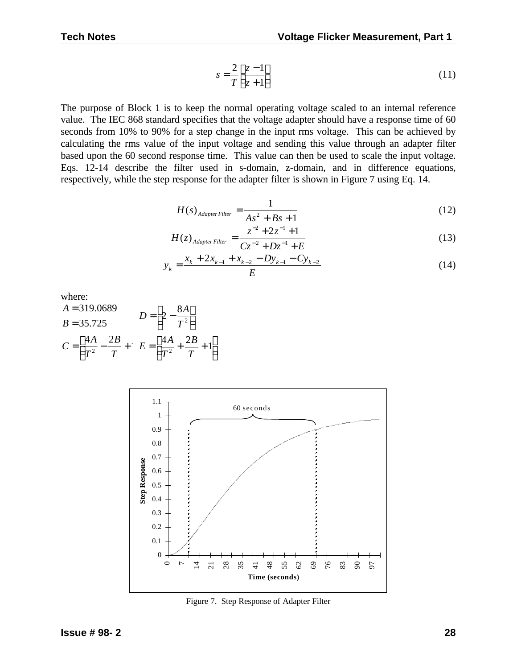$$
s = \frac{2}{T} \left[ \frac{z - 1}{z + 1} \right] \tag{11}
$$

The purpose of Block 1 is to keep the normal operating voltage scaled to an internal reference value. The IEC 868 standard specifies that the voltage adapter should have a response time of 60 seconds from 10% to 90% for a step change in the input rms voltage. This can be achieved by calculating the rms value of the input voltage and sending this value through an adapter filter based upon the 60 second response time. This value can then be used to scale the input voltage. Eqs. 12-14 describe the filter used in s-domain, z-domain, and in difference equations, respectively, while the step response for the adapter filter is shown in Figure 7 using Eq. 14.

$$
H(s)_{AdapterFilter} = \frac{1}{As^2 + Bs + 1}
$$
 (12)

$$
H(z)_{AdapterFilter} = \frac{z^{-2} + 2z^{-1} + 1}{Cz^{-2} + Dz^{-1} + E}
$$
 (13)

$$
y_k = \frac{x_k + 2x_{k-1} + x_{k-2} - Dy_{k-1} - Cy_{k-2}}{E}
$$
\n(14)

where:

A = 319.0689  
\nB = 35.725  
\n
$$
D = \left[2 - \frac{8A}{T^2}\right]
$$
\n
$$
C = \left[\frac{4A}{T^2} - \frac{2B}{T} + \left(E\right) = \left[\frac{4A}{T^2} + \frac{2B}{T} + 1\right]\right]
$$



Figure 7. Step Response of Adapter Filter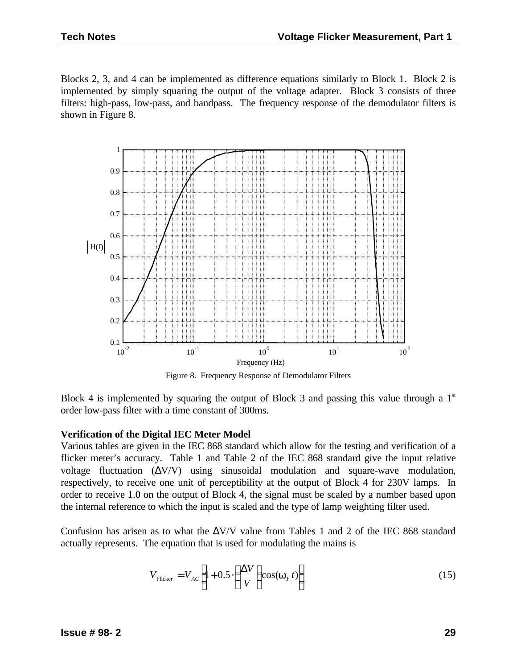Blocks 2, 3, and 4 can be implemented as difference equations similarly to Block 1. Block 2 is implemented by simply squaring the output of the voltage adapter. Block 3 consists of three filters: high-pass, low-pass, and bandpass. The frequency response of the demodulator filters is shown in Figure 8.



Figure 8. Frequency Response of Demodulator Filters

Block 4 is implemented by squaring the output of Block 3 and passing this value through a  $1<sup>st</sup>$ order low-pass filter with a time constant of 300ms.

#### **Verification of the Digital IEC Meter Model**

Various tables are given in the IEC 868 standard which allow for the testing and verification of a flicker meter's accuracy. Table 1 and Table 2 of the IEC 868 standard give the input relative voltage fluctuation  $(\Delta V/V)$  using sinusoidal modulation and square-wave modulation, respectively, to receive one unit of perceptibility at the output of Block 4 for 230V lamps. In order to receive 1.0 on the output of Block 4, the signal must be scaled by a number based upon the internal reference to which the input is scaled and the type of lamp weighting filter used.

Confusion has arisen as to what the  $\Delta V/V$  value from Tables 1 and 2 of the IEC 868 standard actually represents. The equation that is used for modulating the mains is

$$
V_{\text{Flicker}} = V_{AC} \left[ 1 + 0.5 \cdot \left( \frac{\Delta V}{V} \right) \cos(\mathbf{w}_F t) \right]
$$
 (15)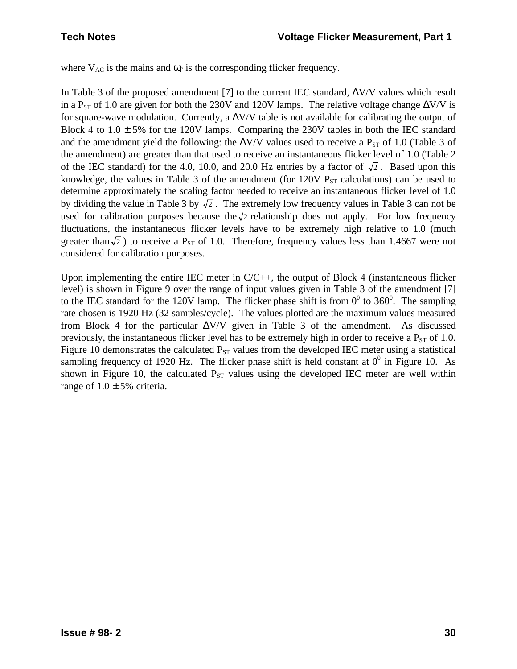where  $V_{AC}$  is the mains and  $\omega_F$  is the corresponding flicker frequency.

In Table 3 of the proposed amendment [7] to the current IEC standard,  $\Delta$ V/V values which result in a P<sub>ST</sub> of 1.0 are given for both the 230V and 120V lamps. The relative voltage change  $\Delta V/V$  is for square-wave modulation. Currently, a  $\Delta V/V$  table is not available for calibrating the output of Block 4 to  $1.0 \pm 5\%$  for the 120V lamps. Comparing the 230V tables in both the IEC standard and the amendment yield the following: the  $\Delta V/V$  values used to receive a P<sub>ST</sub> of 1.0 (Table 3 of the amendment) are greater than that used to receive an instantaneous flicker level of 1.0 (Table 2 of the IEC standard) for the 4.0, 10.0, and 20.0 Hz entries by a factor of  $\sqrt{2}$ . Based upon this knowledge, the values in Table 3 of the amendment (for  $120V$   $P_{ST}$  calculations) can be used to determine approximately the scaling factor needed to receive an instantaneous flicker level of 1.0 by dividing the value in Table 3 by  $\sqrt{2}$ . The extremely low frequency values in Table 3 can not be used for calibration purposes because the  $\sqrt{2}$  relationship does not apply. For low frequency fluctuations, the instantaneous flicker levels have to be extremely high relative to 1.0 (much greater than  $\sqrt{2}$ ) to receive a P<sub>ST</sub> of 1.0. Therefore, frequency values less than 1.4667 were not considered for calibration purposes.

Upon implementing the entire IEC meter in  $C/C++$ , the output of Block 4 (instantaneous flicker level) is shown in Figure 9 over the range of input values given in Table 3 of the amendment [7] to the IEC standard for the 120V lamp. The flicker phase shift is from  $0^0$  to 360<sup>0</sup>. The sampling rate chosen is 1920 Hz (32 samples/cycle). The values plotted are the maximum values measured from Block 4 for the particular  $\Delta V/V$  given in Table 3 of the amendment. As discussed previously, the instantaneous flicker level has to be extremely high in order to receive a  $P_{ST}$  of 1.0. Figure 10 demonstrates the calculated  $P_{ST}$  values from the developed IEC meter using a statistical sampling frequency of 1920 Hz. The flicker phase shift is held constant at  $0^0$  in Figure 10. As shown in Figure 10, the calculated  $P_{ST}$  values using the developed IEC meter are well within range of  $1.0 \pm 5\%$  criteria.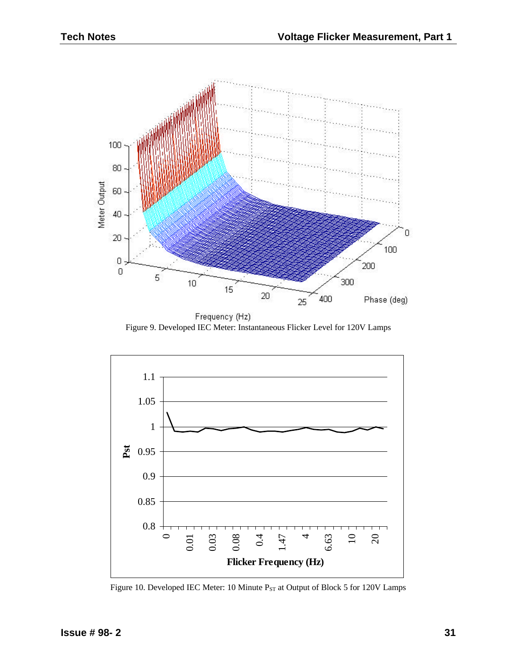

Frequency (Hz) Figure 9. Developed IEC Meter: Instantaneous Flicker Level for 120V Lamps



Figure 10. Developed IEC Meter: 10 Minute  $P_{ST}$  at Output of Block 5 for 120V Lamps